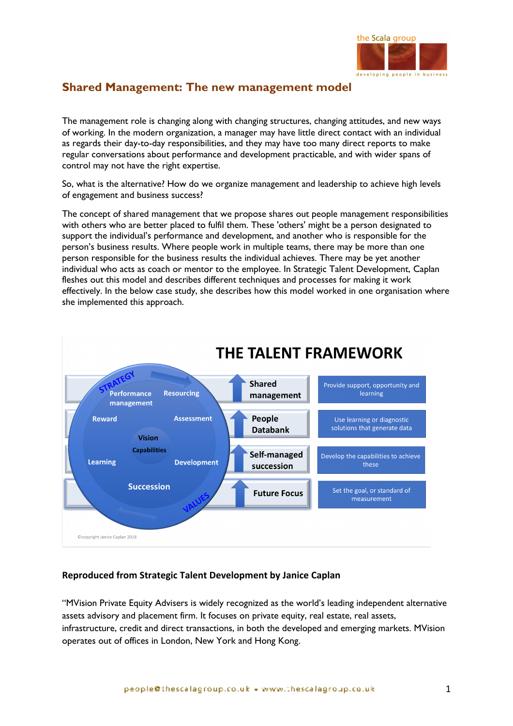

## **Shared Management: The new management model**

The management role is changing along with changing structures, changing attitudes, and new ways of working. In the modern organization, a manager may have little direct contact with an individual as regards their day-to-day responsibilities, and they may have too many direct reports to make regular conversations about performance and development practicable, and with wider spans of control may not have the right expertise.

So, what is the alternative? How do we organize management and leadership to achieve high levels of engagement and business success?

The concept of shared management that we propose shares out people management responsibilities with others who are better placed to fulfil them. These 'others' might be a person designated to support the individual's performance and development, and another who is responsible for the person's business results. Where people work in multiple teams, there may be more than one person responsible for the business results the individual achieves. There may be yet another individual who acts as coach or mentor to the employee. In Strategic Talent Development, Caplan fleshes out this model and describes different techniques and processes for making it work effectively. In the below case study, she describes how this model worked in one organisation where she implemented this approach.



## **Reproduced from Strategic Talent Development by Janice Caplan**

"MVision Private Equity Advisers is widely recognized as the world's leading independent alternative assets advisory and placement firm. It focuses on private equity, real estate, real assets, infrastructure, credit and direct transactions, in both the developed and emerging markets. MVision operates out of offices in London, New York and Hong Kong.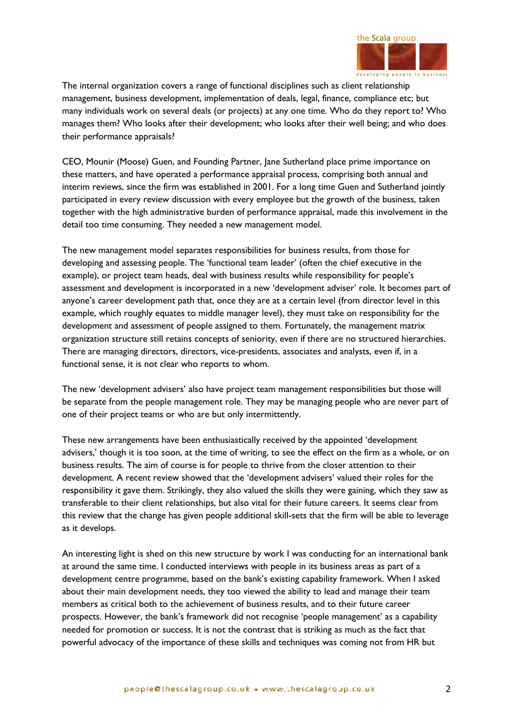

The internal organization covers a range of functional disciplines such as client relationship management, business development, implementation of deals, legal, finance, compliance etc; but many individuals work on several deals (or projects) at any one time. Who do they report to? Who manages them? Who looks after their development; who looks after their well being; and who does their performance appraisals?

CEO, Mounir (Moose) Guen, and Founding Partner, Jane Sutherland place prime importance on these matters, and have operated a performance appraisal process, comprising both annual and interim reviews, since the firm was established in 2001. For a long time Guen and Sutherland jointly participated in every review discussion with every employee but the growth of the business, taken together with the high administrative burden of performance appraisal, made this involvement in the detail too time consuming. They needed a new management model.

The new management model separates responsibilities for business results, from those for developing and assessing people. The 'functional team leader' (often the chief executive in the example), or project team heads, deal with business results while responsibility for people's assessment and development is incorporated in a new 'development adviser' role. It becomes part of anyone's career development path that, once they are at a certain level (from director level in this example, which roughly equates to middle manager level), they must take on responsibility for the development and assessment of people assigned to them. Fortunately, the management matrix organization structure still retains concepts of seniority, even if there are no structured hierarchies. There are managing directors, directors, vice-presidents, associates and analysts, even if, in a functional sense, it is not clear who reports to whom.

The new 'development advisers' also have project team management responsibilities but those will be separate from the people management role. They may be managing people who are never part of one of their project teams or who are but only intermittently.

These new arrangements have been enthusiastically received by the appointed 'development advisers,' though it is too soon, at the time of writing, to see the effect on the firm as a whole, or on business results. The aim of course is for people to thrive from the closer attention to their development. A recent review showed that the 'development advisers' valued their roles for the responsibility it gave them. Strikingly, they also valued the skills they were gaining, which they saw as transferable to their client relationships, but also vital for their future careers. It seems clear from this review that the change has given people additional skill-sets that the firm will be able to leverage as it develops.

An interesting light is shed on this new structure by work I was conducting for an international bank at around the same time. I conducted interviews with people in its business areas as part of a development centre programme, based on the bank's existing capability framework. When I asked about their main development needs, they too viewed the ability to lead and manage their team members as critical both to the achievement of business results, and to their future career prospects. However, the bank's framework did not recognise 'people management' as a capability needed for promotion or success. It is not the contrast that is striking as much as the fact that powerful advocacy of the importance of these skills and techniques was coming not from HR but